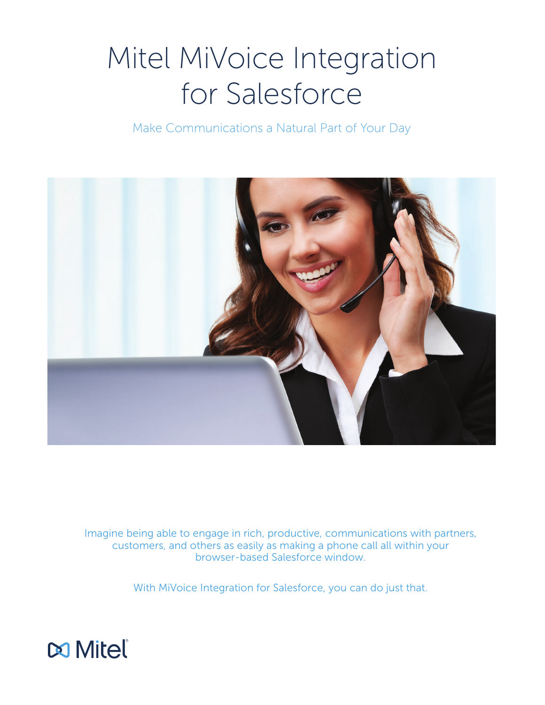# Mitel MiVoice Integration for Salesforce

Make Communications a Natural Part of Your Day



Imagine being able to engage in rich, productive, communications with partners, customers, and others as easily as making a phone call all within your browser-based Salesforce window.

With MiVoice Integration for Salesforce, you can do just that.

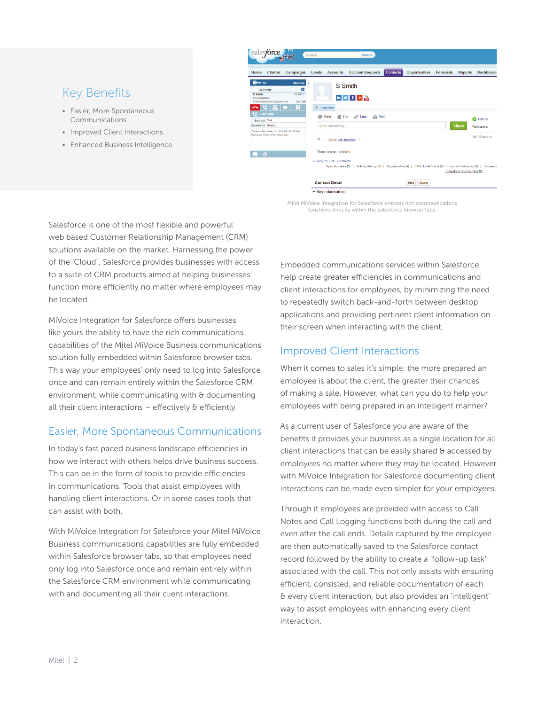### Key Benefits

- Easier, More Spontaneous Communications
- Improved Client Interactions
- Enhanced Business Intelligence



Mitel MiVoice Integration for Salesforce embeds rich communications functions directly within the Salesforce browser tabs.

Salesforce is one of the most flexible and powerful web based Customer Relationship Management (CRM) solutions available on the market. Harnessing the power of the 'Cloud", Salesforce provides businesses with access to a suite of CRM products aimed at helping businesses' function more efficiently no matter where employees may be located.

MiVoice Integration for Salesforce offers businesses like yours the ability to have the rich communications capabilities of the Mitel MiVoice Business communications solution fully embedded within Salesforce browser tabs. This way your employees' only need to log into Salesforce once and can remain entirely within the Salesforce CRM environment, while communicating with & documenting all their client interactions – effectively & efficiently.

#### Easier, More Spontaneous Communications

In today's fast paced business landscape efficiencies in how we interact with others helps drive business success. This can be in the form of tools to provide efficiencies in communications. Tools that assist employees with handling client interactions. Or in some cases tools that can assist with both.

With MiVoice Integration for Salesforce your Mitel MiVoice Business communications capabilities are fully embedded within Salesforce browser tabs, so that employees need only log into Salesforce once and remain entirely within the Salesforce CRM environment while communicating with and documenting all their client interactions.

Embedded communications services within Salesforce help create greater efficiencies in communications and client interactions for employees, by minimizing the need to repeatedly switch back-and-forth between desktop applications and providing pertinent client information on their screen when interacting with the client.

#### Improved Client Interactions

When it comes to sales it's simple; the more prepared an employee is about the client, the greater their chances of making a sale. However, what can you do to help your employees with being prepared in an intelligent manner?

As a current user of Salesforce you are aware of the benefits it provides your business as a single location for all client interactions that can be easily shared  $\theta$  accessed by employees no matter where they may be located. However with MiVoice Integration for Salesforce documenting client interactions can be made even simpler for your employees.

Through it employees are provided with access to Call Notes and Call Logging functions both during the call and even after the call ends. Details captured by the employee are then automatically saved to the Salesforce contact record followed by the ability to create a 'follow-up task' associated with the call. This not only assists with ensuring efficient, consisted, and reliable documentation of each & every client interaction, but also provides an 'intelligent' way to assist employees with enhancing every client interaction.